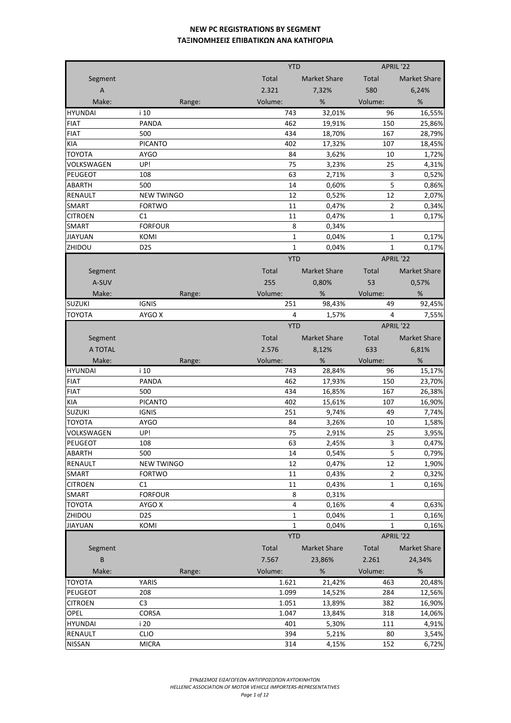|                |                   |        |         | <b>YTD</b>              | APRIL '22      |                     |
|----------------|-------------------|--------|---------|-------------------------|----------------|---------------------|
| Segment        |                   |        | Total   | Market Share            | Total          | Market Share        |
| $\overline{A}$ |                   |        | 2.321   | 7,32%                   | 580            | 6,24%               |
| Make:          |                   | Range: | Volume: | $\%$                    | Volume:        | $\%$                |
| <b>HYUNDAI</b> | i 10              |        | 743     | 32.01%                  | 96             | 16,55%              |
| <b>FIAT</b>    | <b>PANDA</b>      |        | 462     | 19,91%                  | 150            | 25,86%              |
| <b>FIAT</b>    | 500               |        | 434     | 18,70%                  | 167            | 28,79%              |
| KIA            | <b>PICANTO</b>    |        | 402     | 17,32%                  | 107            | 18,45%              |
| <b>TOYOTA</b>  | <b>AYGO</b>       |        | 84      | 3,62%                   | 10             | 1,72%               |
| VOLKSWAGEN     | UP!               |        | 75      | 3,23%                   | 25             | 4,31%               |
| PEUGEOT        | 108               |        | 63      | 2,71%                   | 3              | 0,52%               |
| ABARTH         | 500               |        | 14      | 0,60%                   | 5              | 0,86%               |
| <b>RENAULT</b> | <b>NEW TWINGO</b> |        | 12      | 0,52%                   | 12             | 2,07%               |
| SMART          | <b>FORTWO</b>     |        | 11      | 0,47%                   | $\overline{2}$ | 0,34%               |
| <b>CITROEN</b> | C1                |        | 11      | 0,47%                   | $\mathbf{1}$   | 0,17%               |
| SMART          | <b>FORFOUR</b>    |        |         | 8<br>0,34%              |                |                     |
| <b>JIAYUAN</b> | KOMI              |        |         | 1<br>0,04%              | 1              | 0,17%               |
| ZHIDOU         | D <sub>2</sub> S  |        |         | $\mathbf{1}$<br>0.04%   | 1              | 0,17%               |
|                |                   |        |         | <b>YTD</b>              | APRIL '22      |                     |
|                |                   |        | Total   |                         |                |                     |
| Segment        |                   |        |         | <b>Market Share</b>     | Total          | Market Share        |
| A-SUV          |                   |        | 255     | 0,80%                   | 53             | 0,57%               |
| Make:          |                   | Range: | Volume: | %                       | Volume:        | %                   |
| <b>SUZUKI</b>  | <b>IGNIS</b>      |        | 251     | 98,43%                  | 49             | 92,45%              |
| <b>TOYOTA</b>  | AYGO X            |        |         | 4<br>1,57%              | 4              | 7,55%               |
|                |                   |        |         | <b>YTD</b>              | APRIL '22      |                     |
| Segment        |                   |        | Total   | <b>Market Share</b>     | Total          | <b>Market Share</b> |
| A TOTAL        |                   |        | 2.576   | 8,12%                   | 633            | 6,81%               |
|                |                   |        |         |                         |                |                     |
| Make:          |                   | Range: | Volume: | %                       | Volume:        | %                   |
| <b>HYUNDAI</b> | i 10              |        | 743     | 28,84%                  | 96             | 15,17%              |
| <b>FIAT</b>    | <b>PANDA</b>      |        | 462     | 17,93%                  | 150            | 23,70%              |
| <b>FIAT</b>    | 500               |        | 434     | 16,85%                  | 167            | 26,38%              |
| KIA            | <b>PICANTO</b>    |        | 402     | 15,61%                  | 107            | 16,90%              |
| <b>SUZUKI</b>  | <b>IGNIS</b>      |        | 251     | 9,74%                   | 49             | 7,74%               |
| <b>TOYOTA</b>  | <b>AYGO</b>       |        | 84      | 3,26%                   | 10             | 1,58%               |
| VOLKSWAGEN     | UP!               |        | 75      | 2,91%                   | 25             | 3,95%               |
| <b>PEUGEOT</b> | 108               |        | 63      | 2,45%                   | 3              | 0,47%               |
| ABARTH         | 500               |        | 14      | 0,54%                   | 5              | 0,79%               |
| RENAULT        | <b>NEW TWINGO</b> |        | 12      | 0,47%                   | 12             | 1,90%               |
| SMART          | <b>FORTWO</b>     |        | 11      | 0,43%                   | $\overline{2}$ | 0,32%               |
| <b>CITROEN</b> | C1                |        | 11      | 0,43%                   | $\mathbf{1}$   | 0,16%               |
| SMART          | <b>FORFOUR</b>    |        |         | 8<br>0,31%              |                |                     |
| TOYOTA         | AYGO X            |        |         | $\overline{4}$<br>0,16% | 4              | 0,63%               |
| ZHIDOU         | D <sub>2</sub> S  |        |         | $\mathbf{1}$<br>0,04%   | 1              | 0,16%               |
| <b>JIAYUAN</b> | KOMI              |        |         | 1<br>0,04%              | $\mathbf{1}$   | 0,16%               |
|                |                   |        |         | <b>YTD</b>              | APRIL '22      |                     |
| Segment        |                   |        | Total   | <b>Market Share</b>     | Total          | Market Share        |
| B              |                   |        | 7.567   | 23,86%                  | 2.261          | 24,34%              |
| Make:          |                   | Range: | Volume: | $\%$                    | Volume:        | %                   |
| TOYOTA         | YARIS             |        | 1.621   | 21,42%                  | 463            | 20,48%              |
| <b>PEUGEOT</b> | 208               |        | 1.099   | 14,52%                  | 284            | 12,56%              |
| <b>CITROEN</b> | C <sub>3</sub>    |        | 1.051   | 13,89%                  | 382            | 16,90%              |
| OPEL           | <b>CORSA</b>      |        | 1.047   | 13,84%                  | 318            | 14,06%              |
| <b>HYUNDAI</b> | i 20              |        | 401     | 5,30%                   | 111            | 4,91%               |
| <b>RENAULT</b> | <b>CLIO</b>       |        | 394     | 5,21%                   | 80             | 3,54%               |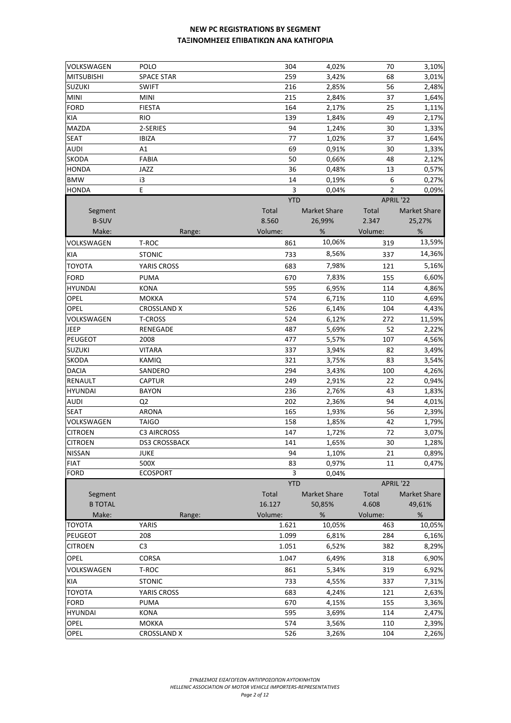| VOLKSWAGEN                      | <b>POLO</b>                        | 304        | 4,02%               | 70             | 3,10%               |
|---------------------------------|------------------------------------|------------|---------------------|----------------|---------------------|
| <b>MITSUBISHI</b>               | <b>SPACE STAR</b>                  | 259        | 3,42%               | 68             | 3,01%               |
| <b>SUZUKI</b>                   | <b>SWIFT</b>                       | 216        | 2,85%               | 56             | 2,48%               |
| <b>MINI</b>                     | <b>MINI</b>                        | 215        | 2,84%               | 37             | 1,64%               |
| <b>FORD</b>                     | <b>FIESTA</b>                      | 164        | 2,17%               | 25             | 1,11%               |
| KIA                             | <b>RIO</b>                         | 139        | 1,84%               | 49             | 2,17%               |
| <b>MAZDA</b>                    | 2-SERIES                           | 94         | 1,24%               | 30             | 1,33%               |
| <b>SEAT</b>                     | <b>IBIZA</b>                       | 77         | 1,02%               | 37             | 1,64%               |
| <b>AUDI</b>                     | A1                                 | 69         | 0,91%               | 30             | 1,33%               |
| SKODA                           | <b>FABIA</b>                       | 50         | 0,66%               | 48             | 2,12%               |
| <b>HONDA</b>                    | JAZZ                               | 36         | 0,48%               | 13             | 0,57%               |
| <b>BMW</b>                      | i3                                 | 14         | 0,19%               | 6              | 0,27%               |
| <b>HONDA</b>                    | Ε                                  | 3          | 0,04%               | $\overline{2}$ | 0,09%               |
|                                 |                                    | <b>YTD</b> |                     | APRIL '22      |                     |
| Segment                         |                                    | Total      | <b>Market Share</b> | Total          | <b>Market Share</b> |
| <b>B-SUV</b>                    |                                    | 8.560      | 26,99%              | 2.347          | 25,27%              |
| Make:                           | Range:                             | Volume:    | $\%$                | Volume:        | %                   |
| VOLKSWAGEN                      | T-ROC                              | 861        | 10,06%              | 319            | 13,59%              |
| KIA                             | <b>STONIC</b>                      | 733        | 8,56%               | 337            | 14,36%              |
| <b>TOYOTA</b>                   | YARIS CROSS                        | 683        | 7,98%               | 121            | 5,16%               |
|                                 |                                    |            |                     |                |                     |
| FORD                            | PUMA                               | 670        | 7,83%               | 155            | 6,60%               |
| <b>HYUNDAI</b>                  | KONA                               | 595        | 6,95%               | 114            | 4,86%               |
| OPEL                            | <b>MOKKA</b>                       | 574        | 6,71%               | 110            | 4,69%               |
| <b>OPEL</b>                     | <b>CROSSLAND X</b>                 | 526        | 6,14%               | 104            | 4,43%               |
| VOLKSWAGEN                      | <b>T-CROSS</b>                     | 524        | 6,12%               | 272            | 11,59%              |
| JEEP                            | RENEGADE                           | 487        | 5,69%               | 52             | 2,22%               |
| <b>PEUGEOT</b>                  | 2008                               | 477        | 5,57%               | 107            | 4,56%               |
| <b>SUZUKI</b>                   | VITARA                             | 337        | 3,94%               | 82             | 3,49%               |
| SKODA                           | KAMIQ                              | 321        | 3,75%               | 83<br>100      | 3,54%               |
| <b>DACIA</b>                    | SANDERO                            | 294<br>249 | 3,43%               |                | 4,26%               |
| RENAULT                         | <b>CAPTUR</b>                      |            | 2,91%               | 22             | 0,94%               |
| <b>HYUNDAI</b>                  | BAYON                              | 236        | 2,76%               | 43             | 1,83%               |
| <b>AUDI</b>                     | Q <sub>2</sub><br><b>ARONA</b>     | 202<br>165 | 2,36%               | 94<br>56       | 4,01%               |
| SEAT                            |                                    |            | 1,93%               | 42             | 2,39%               |
| VOLKSWAGEN<br><b>CITROEN</b>    | <b>TAIGO</b><br><b>C3 AIRCROSS</b> | 158<br>147 | 1,85%               | 72             | 1,79%               |
|                                 |                                    |            | 1,72%<br>1,65%      | 30             | 3,07%               |
| <b>CITROEN</b><br><b>NISSAN</b> | DS3 CROSSBACK                      | 141        |                     |                | 1,28%               |
| <b>FIAT</b>                     | JUKE<br>500X                       | 94         | 1,10%               | 21             | 0,89%               |
| <b>FORD</b>                     | <b>ECOSPORT</b>                    | 83<br>3    | 0,97%<br>0,04%      | 11             | 0,47%               |
|                                 |                                    | <b>YTD</b> |                     | APRIL '22      |                     |
| Segment                         |                                    | Total      | <b>Market Share</b> | Total          | <b>Market Share</b> |
| <b>B TOTAL</b>                  |                                    | 16.127     | 50,85%              | 4.608          | 49,61%              |
| Make:                           | Range:                             | Volume:    | $\%$                | Volume:        | %                   |
| <b>TOYOTA</b>                   | YARIS                              | 1.621      | 10,05%              | 463            | 10,05%              |
| PEUGEOT                         | 208                                | 1.099      | 6,81%               | 284            | 6,16%               |
| <b>CITROEN</b>                  | C <sub>3</sub>                     | 1.051      | 6,52%               | 382            | 8,29%               |
| <b>OPEL</b>                     | CORSA                              | 1.047      | 6,49%               | 318            | 6,90%               |
|                                 |                                    |            |                     |                |                     |
| VOLKSWAGEN                      | T-ROC                              | 861        | 5,34%               | 319            | 6,92%               |
| KIA                             | <b>STONIC</b>                      | 733        | 4,55%               | 337            | 7,31%               |
| <b>TOYOTA</b>                   | YARIS CROSS                        | 683        | 4,24%               | 121            | 2,63%               |
| <b>FORD</b>                     | PUMA                               | 670        | 4,15%               | 155            | 3,36%               |
| <b>HYUNDAI</b>                  | <b>KONA</b>                        | 595        | 3,69%               | 114            | 2,47%               |
| <b>OPEL</b>                     | <b>MOKKA</b>                       | 574        | 3,56%               | 110            | 2,39%               |
| <b>OPEL</b>                     | <b>CROSSLAND X</b>                 | 526        | 3,26%               | 104            | 2,26%               |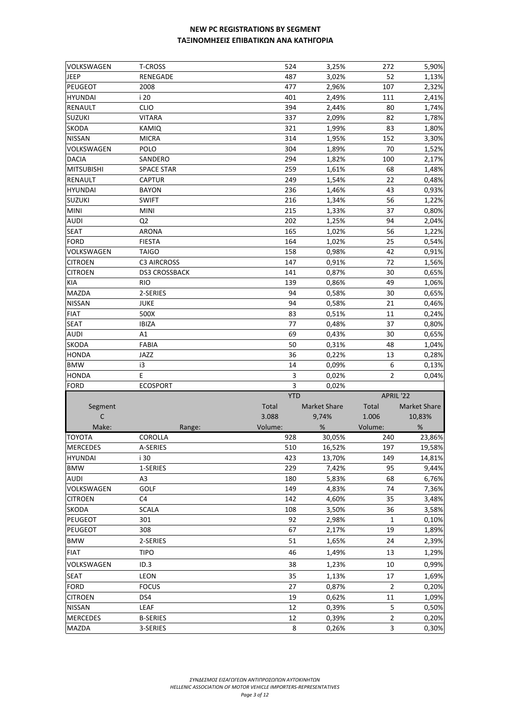| <b>VOLKSWAGEN</b>                 | T-CROSS                     | 524        | 3,25%               | 272                 | 5,90%            |
|-----------------------------------|-----------------------------|------------|---------------------|---------------------|------------------|
| <b>JEEP</b>                       | RENEGADE                    | 487        | 3,02%               | 52                  | 1,13%            |
| <b>PEUGEOT</b>                    | 2008                        | 477        | 2,96%               | 107                 | 2,32%            |
| <b>HYUNDAI</b>                    | i 20                        | 401        | 2,49%               | 111                 | 2,41%            |
| <b>RENAULT</b>                    | <b>CLIO</b>                 | 394        | 2,44%               | 80                  | 1,74%            |
| <b>SUZUKI</b>                     | <b>VITARA</b>               | 337        | 2,09%               | 82                  | 1,78%            |
| <b>SKODA</b>                      | KAMIQ                       | 321        | 1,99%               | 83                  | 1,80%            |
| <b>NISSAN</b>                     | <b>MICRA</b>                | 314        | 1,95%               | 152                 | 3,30%            |
| VOLKSWAGEN                        | POLO                        | 304        | 1,89%               | 70                  | 1,52%            |
| <b>DACIA</b>                      | SANDERO                     | 294        | 1,82%               | 100                 | 2,17%            |
| <b>MITSUBISHI</b>                 | <b>SPACE STAR</b>           | 259        | 1,61%               | 68                  | 1,48%            |
| <b>RENAULT</b>                    | <b>CAPTUR</b>               | 249        | 1,54%               | 22                  | 0,48%            |
| <b>HYUNDAI</b>                    | <b>BAYON</b>                | 236        | 1,46%               | 43                  | 0,93%            |
| <b>SUZUKI</b>                     | <b>SWIFT</b>                | 216        | 1,34%               | 56                  | 1,22%            |
| <b>MINI</b>                       | <b>MINI</b>                 | 215        | 1,33%               | 37                  | 0,80%            |
| <b>AUDI</b>                       | Q <sub>2</sub>              | 202        | 1,25%               | 94                  | 2,04%            |
| <b>SEAT</b>                       | <b>ARONA</b>                | 165        | 1,02%               | 56                  | 1,22%            |
| <b>FORD</b>                       | <b>FIESTA</b>               | 164        | 1,02%               | 25                  | 0,54%            |
| VOLKSWAGEN                        | <b>TAIGO</b>                | 158        | 0,98%               | 42                  | 0,91%            |
| <b>CITROEN</b>                    | <b>C3 AIRCROSS</b>          | 147        | 0,91%               | 72                  | 1,56%            |
| <b>CITROEN</b>                    | <b>DS3 CROSSBACK</b>        | 141        | 0,87%               | 30                  | 0,65%            |
| <b>KIA</b>                        | <b>RIO</b>                  | 139        | 0,86%               | 49                  | 1,06%            |
| <b>MAZDA</b>                      | 2-SERIES                    | 94         | 0,58%               | 30                  | 0,65%            |
| <b>NISSAN</b>                     | <b>JUKE</b>                 | 94         | 0,58%               | 21                  | 0,46%            |
| <b>FIAT</b>                       | 500X                        | 83         | 0,51%               | 11                  | 0,24%            |
| <b>SEAT</b>                       | <b>IBIZA</b>                | 77         | 0,48%               | 37                  | 0,80%            |
| <b>AUDI</b>                       | A1                          | 69         | 0,43%               | 30                  | 0,65%            |
| <b>SKODA</b>                      | FABIA                       | 50         | 0,31%               | 48                  | 1,04%            |
| <b>HONDA</b>                      | JAZZ                        | 36         | 0,22%               | 13                  | 0,28%            |
|                                   |                             |            |                     |                     |                  |
| <b>BMW</b>                        | i3                          | 14         |                     | 6                   |                  |
|                                   | E                           | 3          | 0,09%               | 2                   | 0,13%<br>0,04%   |
| <b>HONDA</b><br><b>FORD</b>       | <b>ECOSPORT</b>             | 3          | 0,02%<br>0,02%      |                     |                  |
|                                   |                             | <b>YTD</b> |                     | APRIL '22           |                  |
|                                   |                             | Total      | <b>Market Share</b> | Total               | Market Share     |
| Segment<br>C                      |                             | 3.088      | 9,74%               | 1.006               |                  |
| Make:                             |                             | Volume:    | %                   | Volume:             | 10,83%<br>%      |
| <b>TOYOTA</b>                     | Range:<br><b>COROLLA</b>    | 928        | 30,05%              | 240                 | 23,86%           |
|                                   |                             |            |                     |                     |                  |
| <b>MERCEDES</b><br><b>HYUNDAI</b> | A-SERIES<br>i 30            | 510<br>423 | 16,52%<br>13,70%    | 197<br>149          | 19,58%<br>14,81% |
| <b>BMW</b>                        | 1-SERIES                    | 229        | 7,42%               | 95                  | 9,44%            |
| <b>AUDI</b>                       | A <sub>3</sub>              | 180        | 5,83%               | 68                  |                  |
| VOLKSWAGEN                        | GOLF                        | 149        | 4,83%               | 74                  | 6,76%            |
|                                   | C4                          |            |                     |                     | 7,36%            |
| <b>CITROEN</b>                    |                             | 142        | 4,60%               | 35                  | 3,48%            |
| SKODA                             | <b>SCALA</b>                | 108        | 3,50%               | 36<br>1             | 3,58%            |
| <b>PEUGEOT</b>                    | 301                         | 92         | 2,98%               |                     | 0,10%            |
| <b>PEUGEOT</b>                    | 308                         | 67         | 2,17%               | 19                  | 1,89%            |
| <b>BMW</b>                        | 2-SERIES                    | 51         | 1,65%               | 24                  | 2,39%            |
| <b>FIAT</b>                       | TIPO                        | 46         | 1,49%               | 13                  | 1,29%            |
| VOLKSWAGEN                        | ID.3                        | 38         | 1,23%               | 10                  | 0,99%            |
| <b>SEAT</b>                       | LEON                        | 35         | 1,13%               | 17                  | 1,69%            |
| <b>FORD</b>                       | <b>FOCUS</b>                | 27         | 0,87%               | 2                   | 0,20%            |
| <b>CITROEN</b>                    | DS4                         | 19         | 0,62%               | $11\,$              | 1,09%            |
| <b>NISSAN</b>                     | LEAF                        | 12         | 0,39%               | 5                   | 0,50%            |
| <b>MERCEDES</b><br>MAZDA          | <b>B-SERIES</b><br>3-SERIES | 12<br>8    | 0,39%<br>0,26%      | $\overline{2}$<br>3 | 0,20%<br>0,30%   |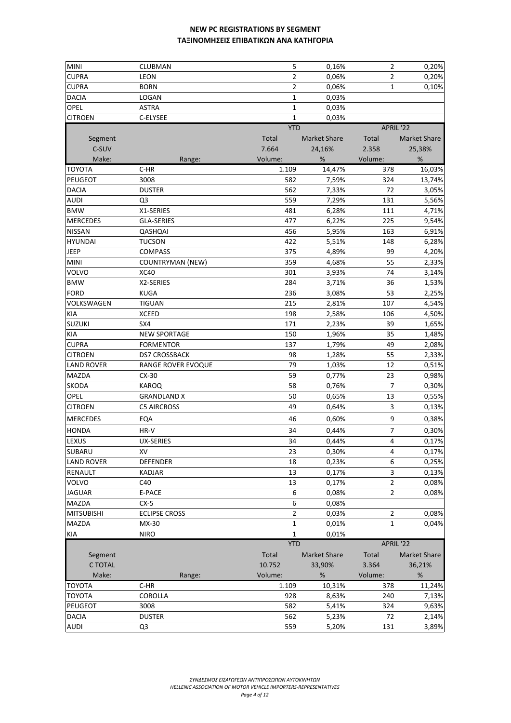| <b>MINI</b>       | CLUBMAN                 | 5              | 0,16%               | 2              | 0,20%               |
|-------------------|-------------------------|----------------|---------------------|----------------|---------------------|
| <b>CUPRA</b>      | LEON                    | $\overline{2}$ | 0,06%               | 2              | 0,20%               |
| <b>CUPRA</b>      | <b>BORN</b>             | $\overline{2}$ | 0,06%               | 1              | 0,10%               |
| <b>DACIA</b>      | LOGAN                   | 1              | 0,03%               |                |                     |
| OPEL              | <b>ASTRA</b>            | 1              | 0,03%               |                |                     |
| <b>CITROEN</b>    | C-ELYSEE                | 1              | 0,03%               |                |                     |
|                   |                         | <b>YTD</b>     |                     | APRIL '22      |                     |
| Segment           |                         | Total          | <b>Market Share</b> | Total          | <b>Market Share</b> |
| C-SUV             |                         | 7.664          | 24,16%              | 2.358          | 25,38%              |
| Make:             | Range:                  | Volume:        | %                   | Volume:        | %                   |
| <b>TOYOTA</b>     | $C-HR$                  | 1.109          | 14,47%              | 378            | 16,03%              |
| PEUGEOT           | 3008                    | 582            | 7,59%               | 324            | 13,74%              |
| <b>DACIA</b>      | <b>DUSTER</b>           | 562            | 7,33%               | 72             | 3,05%               |
| <b>AUDI</b>       | Q <sub>3</sub>          | 559            | 7,29%               | 131            | 5,56%               |
| <b>BMW</b>        | X1-SERIES               | 481            | 6,28%               | 111            | 4,71%               |
| <b>MERCEDES</b>   | <b>GLA-SERIES</b>       | 477            | 6,22%               | 225            | 9,54%               |
| <b>NISSAN</b>     | QASHQAI                 | 456            | 5,95%               | 163            | 6,91%               |
| <b>HYUNDAI</b>    | <b>TUCSON</b>           | 422            | 5,51%               | 148            | 6,28%               |
| <b>JEEP</b>       | <b>COMPASS</b>          | 375            | 4,89%               | 99             | 4,20%               |
| <b>MINI</b>       | <b>COUNTRYMAN (NEW)</b> | 359            | 4,68%               | 55             | 2,33%               |
| VOLVO             | <b>XC40</b>             | 301            | 3,93%               | 74             | 3,14%               |
| <b>BMW</b>        | X2-SERIES               | 284            | 3,71%               | 36             | 1,53%               |
| <b>FORD</b>       | <b>KUGA</b>             | 236            | 3,08%               | 53             | 2,25%               |
| VOLKSWAGEN        | TIGUAN                  | 215            | 2,81%               | 107            | 4,54%               |
| <b>KIA</b>        | <b>XCEED</b>            | 198            | 2,58%               | 106            | 4,50%               |
| <b>SUZUKI</b>     | SX4                     | 171            | 2,23%               | 39             | 1,65%               |
| <b>KIA</b>        | <b>NEW SPORTAGE</b>     | 150            | 1,96%               | 35             | 1,48%               |
| <b>CUPRA</b>      | <b>FORMENTOR</b>        | 137            | 1,79%               | 49             | 2,08%               |
| <b>CITROEN</b>    | DS7 CROSSBACK           | 98             | 1,28%               | 55             | 2,33%               |
| <b>LAND ROVER</b> | RANGE ROVER EVOQUE      | 79             | 1,03%               | 12             | 0,51%               |
| MAZDA             | $CX-30$                 | 59             | 0,77%               | 23             | 0,98%               |
| <b>SKODA</b>      | KAROQ                   | 58             | 0,76%               | 7              | 0,30%               |
| OPEL              | <b>GRANDLAND X</b>      | 50             | 0,65%               | 13             | 0,55%               |
| <b>CITROEN</b>    | <b>C5 AIRCROSS</b>      | 49             | 0,64%               | 3              | 0,13%               |
| <b>MERCEDES</b>   |                         |                |                     |                |                     |
|                   | EQA                     | 46             | 0,60%               | 9              | 0,38%               |
| <b>HONDA</b>      | HR-V                    | 34             | 0,44%               | 7              | 0,30%               |
| <b>LEXUS</b>      | UX-SERIES               | 34             | 0,44%               | $\overline{4}$ | 0,17%               |
| SUBARU            | XV                      | 23             | 0,30%               | $\overline{4}$ | 0,17%               |
| <b>LAND ROVER</b> | DEFENDER                | 18             | 0,23%               | 6              | 0,25%               |
| <b>RENAULT</b>    | KADJAR                  | 13             | 0,17%               | 3              | 0,13%               |
| <b>VOLVO</b>      | C40                     | 13             | 0,17%               | $\overline{2}$ | 0,08%               |
| <b>JAGUAR</b>     | E-PACE                  | 6              | 0,08%               | $\overline{2}$ | 0,08%               |
| <b>MAZDA</b>      | $CX-5$                  | 6              | 0,08%               |                |                     |
| <b>MITSUBISHI</b> | <b>ECLIPSE CROSS</b>    | 2              | 0,03%               | 2              | 0,08%               |
| MAZDA             | MX-30                   | 1              | 0,01%               | 1              | 0,04%               |
| <b>KIA</b>        | <b>NIRO</b>             | 1              | 0,01%               |                |                     |
|                   |                         | <b>YTD</b>     |                     | APRIL '22      |                     |
| Segment           |                         | Total          | <b>Market Share</b> | Total          | <b>Market Share</b> |
| C TOTAL           |                         | 10.752         | 33,90%              | 3.364          | 36,21%              |
| Make:             | Range:                  | Volume:        | %                   | Volume:        | $\%$                |
| <b>TOYOTA</b>     | $C-HR$                  | 1.109          | 10,31%              | 378            | 11,24%              |
| <b>TOYOTA</b>     | COROLLA                 | 928            | 8,63%               | 240            | 7,13%               |
| PEUGEOT           | 3008                    | 582            | 5,41%               | 324            | 9,63%               |
| <b>DACIA</b>      | <b>DUSTER</b>           | 562            | 5,23%               | 72             | 2,14%               |
| <b>AUDI</b>       | Q3                      | 559            | 5,20%               | 131            | 3,89%               |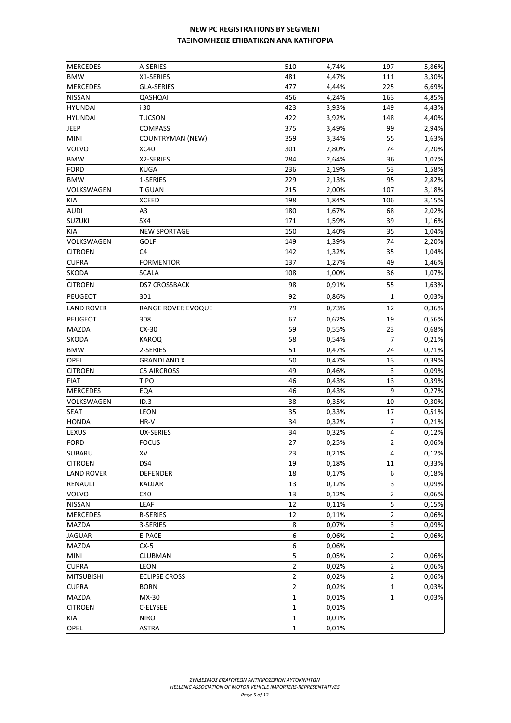| <b>MERCEDES</b>   | A-SERIES                | 510            | 4,74% | 197            | 5,86% |
|-------------------|-------------------------|----------------|-------|----------------|-------|
| <b>BMW</b>        | X1-SERIES               | 481            | 4,47% | 111            | 3,30% |
| <b>MERCEDES</b>   | GLA-SERIES              | 477            | 4,44% | 225            | 6,69% |
| <b>NISSAN</b>     | QASHQAI                 | 456            | 4,24% | 163            | 4,85% |
| <b>HYUNDAI</b>    | i 30                    | 423            | 3,93% | 149            | 4,43% |
| <b>HYUNDAI</b>    | <b>TUCSON</b>           | 422            | 3,92% | 148            | 4,40% |
| JEEP              | <b>COMPASS</b>          | 375            | 3,49% | 99             | 2,94% |
| <b>MINI</b>       | <b>COUNTRYMAN (NEW)</b> | 359            | 3,34% | 55             | 1,63% |
| <b>VOLVO</b>      | <b>XC40</b>             | 301            | 2,80% | 74             | 2,20% |
| <b>BMW</b>        | X2-SERIES               | 284            | 2,64% | 36             | 1,07% |
| <b>FORD</b>       | <b>KUGA</b>             | 236            | 2,19% | 53             | 1,58% |
| <b>BMW</b>        | 1-SERIES                | 229            | 2,13% | 95             | 2,82% |
| VOLKSWAGEN        | <b>TIGUAN</b>           | 215            | 2,00% | 107            | 3,18% |
| KIA               | <b>XCEED</b>            | 198            | 1,84% | 106            | 3,15% |
| <b>AUDI</b>       | A3                      | 180            | 1,67% | 68             | 2,02% |
| <b>SUZUKI</b>     | SX4                     | 171            | 1,59% | 39             | 1,16% |
| KIA               | <b>NEW SPORTAGE</b>     | 150            | 1,40% | 35             | 1,04% |
| VOLKSWAGEN        | <b>GOLF</b>             | 149            | 1,39% | 74             | 2,20% |
| <b>CITROEN</b>    | C4                      | 142            | 1,32% | 35             | 1,04% |
| <b>CUPRA</b>      | <b>FORMENTOR</b>        | 137            | 1,27% | 49             | 1,46% |
| <b>SKODA</b>      | <b>SCALA</b>            | 108            | 1,00% | 36             | 1,07% |
| <b>CITROEN</b>    | <b>DS7 CROSSBACK</b>    | 98             | 0,91% | 55             | 1,63% |
| PEUGEOT           | 301                     | 92             | 0,86% | 1              | 0,03% |
| <b>LAND ROVER</b> | RANGE ROVER EVOQUE      | 79             | 0,73% | 12             | 0,36% |
| <b>PEUGEOT</b>    | 308                     | 67             | 0,62% | 19             | 0,56% |
| <b>MAZDA</b>      | $CX-30$                 | 59             | 0,55% | 23             | 0,68% |
| <b>SKODA</b>      | <b>KAROQ</b>            | 58             | 0,54% | 7              | 0,21% |
| <b>BMW</b>        | 2-SERIES                | 51             | 0,47% | 24             | 0,71% |
| <b>OPEL</b>       | <b>GRANDLAND X</b>      | 50             | 0,47% | 13             | 0,39% |
| <b>CITROEN</b>    | <b>C5 AIRCROSS</b>      | 49             | 0,46% | 3              | 0,09% |
| <b>FIAT</b>       | <b>TIPO</b>             | 46             | 0,43% | 13             | 0,39% |
| <b>MERCEDES</b>   | EQA                     | 46             | 0,43% | 9              | 0,27% |
| VOLKSWAGEN        | ID.3                    | 38             | 0,35% | 10             | 0,30% |
| <b>SEAT</b>       | LEON                    | 35             | 0,33% | 17             | 0,51% |
| <b>HONDA</b>      | HR-V                    | 34             | 0,32% | $\overline{7}$ | 0,21% |
| LEXUS             | <b>UX-SERIES</b>        | 34             | 0,32% | 4              | 0,12% |
| <b>FORD</b>       | <b>FOCUS</b>            | 27             | 0,25% | $\overline{2}$ | 0,06% |
| SUBARU            | XV                      | 23             | 0,21% | 4              | 0,12% |
| <b>CITROEN</b>    | DS4                     | 19             | 0,18% | 11             | 0,33% |
| <b>LAND ROVER</b> | <b>DEFENDER</b>         | 18             | 0,17% | 6              | 0,18% |
| RENAULT           | <b>KADJAR</b>           | 13             | 0,12% | 3              | 0,09% |
| VOLVO             | C40                     | 13             | 0,12% | $\overline{2}$ | 0,06% |
| <b>NISSAN</b>     | LEAF                    | 12             | 0,11% | 5              | 0,15% |
| <b>MERCEDES</b>   | <b>B-SERIES</b>         | 12             | 0,11% | $\overline{2}$ | 0,06% |
| MAZDA             | 3-SERIES                | 8              | 0,07% | 3              | 0,09% |
| <b>JAGUAR</b>     | E-PACE                  | 6              | 0,06% | $\overline{2}$ | 0,06% |
| <b>MAZDA</b>      | $CX-5$                  | 6              | 0,06% |                |       |
| <b>MINI</b>       | CLUBMAN                 | 5              | 0,05% | $\overline{2}$ | 0,06% |
| <b>CUPRA</b>      | LEON                    | $\overline{2}$ | 0,02% | $\overline{2}$ | 0,06% |
| <b>MITSUBISHI</b> | <b>ECLIPSE CROSS</b>    | $\overline{2}$ | 0,02% | $\overline{2}$ | 0,06% |
| <b>CUPRA</b>      | <b>BORN</b>             | $\overline{2}$ | 0,02% | 1              | 0,03% |
| <b>MAZDA</b>      | MX-30                   | 1              | 0,01% | 1              | 0,03% |
| <b>CITROEN</b>    | C-ELYSEE                | 1              | 0,01% |                |       |
| KIA               | <b>NIRO</b>             | $\mathbf{1}$   | 0,01% |                |       |
| OPEL              | <b>ASTRA</b>            | $\mathbf{1}$   | 0,01% |                |       |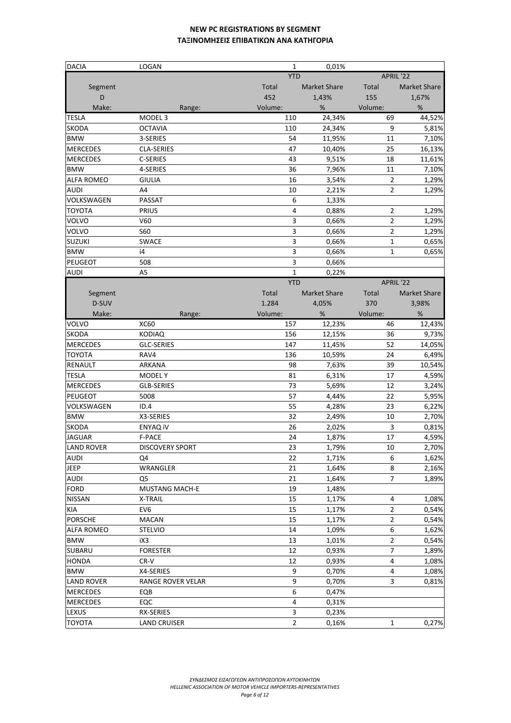| <b>DACIA</b>                       | LOGAN                  | 1              | 0,01%               |                  |                |
|------------------------------------|------------------------|----------------|---------------------|------------------|----------------|
|                                    |                        | <b>YTD</b>     |                     | APRIL '22        |                |
| Segment                            |                        | <b>Total</b>   | <b>Market Share</b> | Total            | Market Share   |
| D                                  |                        | 452            | 1,43%               | 155              | 1,67%          |
| Make:                              | Range:                 | Volume:        | %                   | Volume:          | %              |
| <b>TESLA</b>                       | MODEL <sub>3</sub>     | 110            | 24,34%              | 69               | 44,52%         |
| SKODA                              | <b>OCTAVIA</b>         | 110            | 24,34%              | 9                | 5,81%          |
| <b>BMW</b>                         | 3-SERIES               | 54             | 11,95%              | 11               | 7,10%          |
| <b>MERCEDES</b>                    | CLA-SERIES             | 47             | 10,40%              | 25               | 16,13%         |
| <b>MERCEDES</b>                    | C-SERIES               | 43             | 9,51%               | 18               | 11,61%         |
| <b>BMW</b>                         | 4-SERIES               | 36             | 7,96%               | 11               | 7,10%          |
| <b>ALFA ROMEO</b>                  | <b>GIULIA</b>          | 16             | 3,54%               | $\overline{2}$   | 1,29%          |
| <b>AUDI</b>                        | A4                     | 10             | 2,21%               | $\overline{2}$   | 1,29%          |
| VOLKSWAGEN                         | PASSAT                 | 6              | 1,33%               |                  |                |
| TOYOTA                             | PRIUS                  | 4              | 0,88%               | $\overline{2}$   | 1,29%          |
| VOLVO                              | V60                    | 3              | 0,66%               | $\overline{2}$   | 1,29%          |
| VOLVO                              | <b>S60</b>             | 3              | 0,66%               | $\overline{2}$   | 1,29%          |
| <b>SUZUKI</b>                      | SWACE                  | 3              | 0,66%               | $\mathbf 1$      | 0,65%          |
| <b>BMW</b>                         | i4                     | 3              | 0,66%               | $\mathbf{1}$     | 0,65%          |
| PEUGEOT                            | 508                    | 3              | 0,66%               |                  |                |
| <b>AUDI</b>                        | A <sub>5</sub>         | $\mathbf{1}$   | 0,22%               |                  |                |
|                                    |                        | <b>YTD</b>     |                     | APRIL '22        |                |
| Segment                            |                        | Total          | <b>Market Share</b> | Total            | Market Share   |
| D-SUV                              |                        | 1.284          | 4,05%               | 370              | 3,98%          |
| Make:                              | Range:                 | Volume:        | %                   | Volume:          | %              |
| VOLVO                              | <b>XC60</b>            | 157            | 12,23%              | 46               | 12,43%         |
| SKODA                              | <b>KODIAQ</b>          | 156            | 12,15%              | 36               | 9,73%          |
| <b>MERCEDES</b>                    | <b>GLC-SERIES</b>      | 147            | 11,45%              | 52               | 14,05%         |
| TOYOTA                             | RAV4                   | 136            | 10,59%              | 24               | 6,49%          |
| RENAULT                            | ARKANA                 | 98             | 7,63%               | 39               | 10,54%         |
| <b>TESLA</b>                       | <b>MODELY</b>          | 81             | 6,31%               | 17               | 4,59%          |
| <b>MERCEDES</b>                    | GLB-SERIES             | 73             | 5,69%               | 12               | 3,24%          |
| PEUGEOT                            | 5008                   | 57             | 4,44%               | 22               | 5,95%          |
| VOLKSWAGEN                         | ID.4                   | 55             | 4,28%               | 23               | 6,22%          |
| <b>BMW</b>                         | X3-SERIES              | 32             | 2,49%               | 10               | 2,70%          |
|                                    |                        | 26             |                     |                  |                |
| SKODA                              | <b>ENYAQ IV</b>        |                | 2,02%               | 3                | 0,81%          |
| <b>JAGUAR</b><br><b>LAND ROVER</b> | F-PACE                 | 24             | 1,87%<br>1,79%      | 17               | 4,59%<br>2,70% |
|                                    | <b>DISCOVERY SPORT</b> | 23             |                     | 10               |                |
| AUDI                               | Q4                     | 22             | 1,71%               | 6                | 1,62%          |
| JEEP                               | WRANGLER               | 21             | 1,64%               | 8                | 2,16%          |
| <b>AUDI</b>                        | Q5                     | 21             | 1,64%               | 7                | 1,89%          |
| <b>FORD</b>                        | <b>MUSTANG MACH-E</b>  | 19             | 1,48%               |                  |                |
| <b>NISSAN</b>                      | X-TRAIL                | 15             | 1,17%               | 4                | 1,08%          |
| KIA                                | EV <sub>6</sub>        | 15             | 1,17%               | $\overline{2}$   | 0,54%          |
| <b>PORSCHE</b>                     | <b>MACAN</b>           | 15             | 1,17%               | $\overline{2}$   | 0,54%          |
| <b>ALFA ROMEO</b>                  | <b>STELVIO</b>         | 14             | 1,09%               | $\boldsymbol{6}$ | 1,62%          |
| <b>BMW</b>                         | iX3                    | 13             | 1,01%               | $\overline{2}$   | 0,54%          |
| SUBARU                             | <b>FORESTER</b>        | 12             | 0,93%               | 7                | 1,89%          |
| <b>HONDA</b>                       | $CR-V$                 | 12             | 0,93%               | 4                | 1,08%          |
| <b>BMW</b>                         | X4-SERIES              | 9              | 0,70%               | 4                | 1,08%          |
| <b>LAND ROVER</b>                  | RANGE ROVER VELAR      | 9              | 0,70%               | 3                | 0,81%          |
| <b>MERCEDES</b>                    | EQB                    | 6              | 0,47%               |                  |                |
| <b>MERCEDES</b>                    | EQC                    | 4              | 0,31%               |                  |                |
| LEXUS                              | RX-SERIES              | 3              | 0,23%               |                  |                |
| TOYOTA                             | <b>LAND CRUISER</b>    | $\overline{2}$ | 0,16%               | $\mathbf{1}$     | 0,27%          |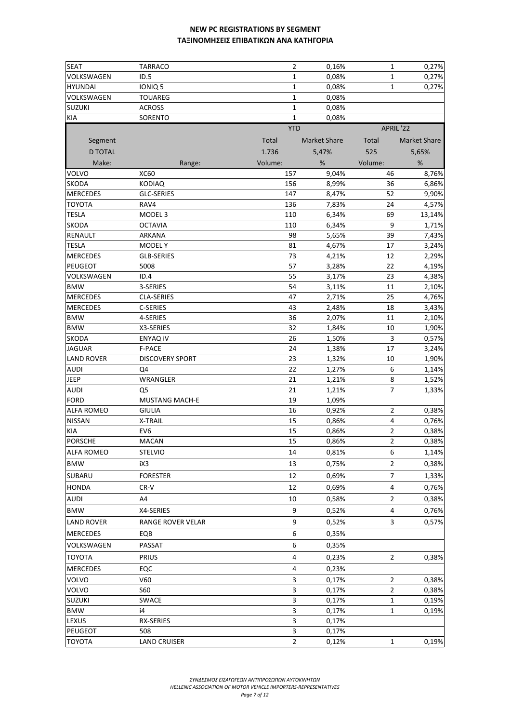| <b>SEAT</b>       | <b>TARRACO</b>         | 2              | 0,16%               | 1              | 0,27%               |
|-------------------|------------------------|----------------|---------------------|----------------|---------------------|
| VOLKSWAGEN        | ID.5                   | $\mathbf 1$    | 0,08%               | $\mathbf{1}$   | 0,27%               |
| <b>HYUNDAI</b>    | IONIQ <sub>5</sub>     | $\mathbf 1$    | 0,08%               | $\mathbf 1$    | 0,27%               |
| VOLKSWAGEN        | <b>TOUAREG</b>         | $\mathbf{1}$   | 0,08%               |                |                     |
| <b>SUZUKI</b>     | <b>ACROSS</b>          | $\mathbf 1$    | 0,08%               |                |                     |
| <b>KIA</b>        | SORENTO                | $\mathbf{1}$   | 0,08%               |                |                     |
|                   |                        | <b>YTD</b>     |                     | APRIL '22      |                     |
| Segment           |                        | Total          | <b>Market Share</b> | Total          | <b>Market Share</b> |
| <b>D TOTAL</b>    |                        | 1.736          | 5,47%               | 525            | 5,65%               |
| Make:             | Range:                 | Volume:        | %                   | Volume:        | $\%$                |
| <b>VOLVO</b>      | <b>XC60</b>            | 157            | 9,04%               | 46             | 8,76%               |
| <b>SKODA</b>      | <b>KODIAQ</b>          | 156            | 8,99%               | 36             | 6,86%               |
| <b>MERCEDES</b>   | GLC-SERIES             | 147            | 8,47%               | 52             | 9,90%               |
| <b>TOYOTA</b>     | RAV4                   | 136            | 7,83%               | 24             | 4,57%               |
| <b>TESLA</b>      | MODEL <sub>3</sub>     | 110            | 6,34%               | 69             | 13,14%              |
| <b>SKODA</b>      | <b>OCTAVIA</b>         | 110            | 6,34%               | 9              | 1,71%               |
| <b>RENAULT</b>    | ARKANA                 | 98             | 5,65%               | 39             | 7,43%               |
| <b>TESLA</b>      | <b>MODELY</b>          | 81             | 4,67%               | 17             | 3,24%               |
| <b>MERCEDES</b>   | <b>GLB-SERIES</b>      | 73             | 4,21%               | 12             | 2,29%               |
| <b>PEUGEOT</b>    | 5008                   | 57             | 3,28%               | 22             | 4,19%               |
| VOLKSWAGEN        | ID.4                   | 55             | 3,17%               | 23             | 4,38%               |
| <b>BMW</b>        | 3-SERIES               | 54             | 3,11%               | 11             | 2,10%               |
| <b>MERCEDES</b>   | CLA-SERIES             | 47             | 2,71%               | 25             | 4,76%               |
| <b>MERCEDES</b>   | C-SERIES               | 43             | 2,48%               | 18             | 3,43%               |
| <b>BMW</b>        | 4-SERIES               | 36             | 2,07%               | 11             | 2,10%               |
| <b>BMW</b>        | X3-SERIES              | 32             | 1,84%               | 10             | 1,90%               |
| <b>SKODA</b>      | <b>ENYAQ IV</b>        | 26             | 1,50%               | 3              | 0,57%               |
| <b>JAGUAR</b>     | <b>F-PACE</b>          | 24             | 1,38%               | 17             | 3,24%               |
| <b>LAND ROVER</b> | <b>DISCOVERY SPORT</b> | 23             | 1,32%               | 10             | 1,90%               |
| <b>AUDI</b>       | Q4                     | 22             | 1,27%               | 6              | 1,14%               |
| <b>JEEP</b>       | WRANGLER               | 21             | 1,21%               | 8              | 1,52%               |
| <b>AUDI</b>       | Q <sub>5</sub>         | 21             | 1,21%               | $\overline{7}$ | 1,33%               |
| <b>FORD</b>       | <b>MUSTANG MACH-E</b>  | 19             | 1,09%               |                |                     |
| <b>ALFA ROMEO</b> | <b>GIULIA</b>          | 16             | 0,92%               | $\overline{2}$ | 0,38%               |
| <b>NISSAN</b>     | X-TRAIL                | 15             | 0,86%               | $\overline{4}$ | 0,76%               |
| KIA               | EV <sub>6</sub>        | 15             | 0,86%               | $\overline{2}$ | 0,38%               |
| <b>PORSCHE</b>    | <b>MACAN</b>           | 15             | 0,86%               | $\overline{2}$ | 0,38%               |
| <b>ALFA ROMEO</b> | <b>STELVIO</b>         | 14             | 0,81%               | 6              | 1,14%               |
| <b>BMW</b>        | iX3                    | 13             | 0,75%               | 2              | 0,38%               |
| SUBARU            | <b>FORESTER</b>        | 12             | 0,69%               | $\overline{7}$ | 1,33%               |
| <b>HONDA</b>      | $CR-V$                 | 12             | 0,69%               | 4              | 0,76%               |
| <b>AUDI</b>       | A4                     | 10             | 0,58%               | $\overline{2}$ | 0,38%               |
| <b>BMW</b>        | X4-SERIES              | 9              | 0,52%               | 4              | 0,76%               |
| <b>LAND ROVER</b> | RANGE ROVER VELAR      | 9              | 0,52%               | 3              | 0,57%               |
|                   |                        |                |                     |                |                     |
| <b>MERCEDES</b>   | EQB                    | 6              | 0,35%               |                |                     |
| VOLKSWAGEN        | PASSAT                 | 6              | 0,35%               |                |                     |
| <b>TOYOTA</b>     | <b>PRIUS</b>           | 4              | 0,23%               | 2              | 0,38%               |
| <b>MERCEDES</b>   | EQC                    | 4              | 0,23%               |                |                     |
| <b>VOLVO</b>      | V60                    | 3              | 0,17%               | 2              | 0,38%               |
| VOLVO             | <b>S60</b>             | 3              | 0,17%               | 2              | 0,38%               |
| <b>SUZUKI</b>     | SWACE                  | 3              | 0,17%               | 1              | 0,19%               |
| <b>BMW</b>        | i4                     | 3              | 0,17%               | 1              | 0,19%               |
| LEXUS             | RX-SERIES              | 3              | 0,17%               |                |                     |
| <b>PEUGEOT</b>    | 508                    | 3              | 0,17%               |                |                     |
| <b>TOYOTA</b>     | <b>LAND CRUISER</b>    | $\overline{2}$ | 0,12%               | 1              | 0,19%               |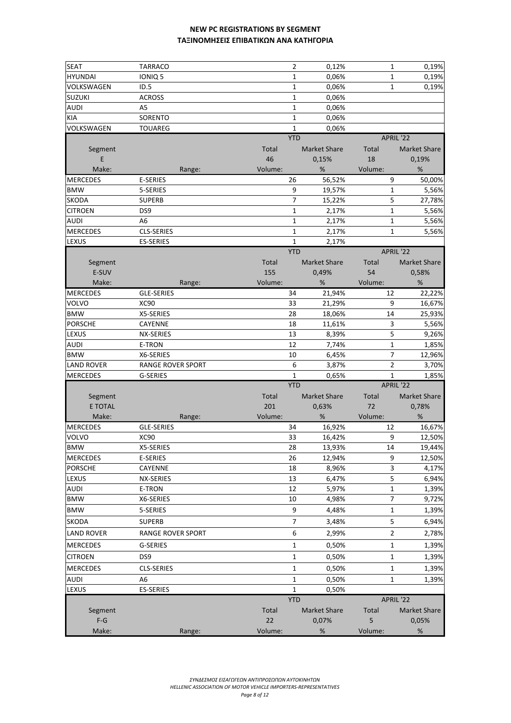| <b>SEAT</b>       | <b>TARRACO</b>           |         | 2            | 0,12%               | $\mathbf{1}$   | 0,19%               |
|-------------------|--------------------------|---------|--------------|---------------------|----------------|---------------------|
| <b>HYUNDAI</b>    | IONIQ 5                  |         | 1            | 0,06%               | $\mathbf{1}$   | 0,19%               |
| VOLKSWAGEN        | ID.5                     |         | 1            | 0,06%               | $\mathbf{1}$   | 0,19%               |
| <b>SUZUKI</b>     | <b>ACROSS</b>            |         | $\mathbf 1$  | 0,06%               |                |                     |
| AUDI              | A <sub>5</sub>           |         | 1            | 0,06%               |                |                     |
| <b>KIA</b>        | SORENTO                  |         | $\mathbf{1}$ | 0,06%               |                |                     |
| VOLKSWAGEN        | <b>TOUAREG</b>           |         | $\mathbf{1}$ | 0,06%               |                |                     |
|                   |                          |         | <b>YTD</b>   |                     | APRIL '22      |                     |
| Segment           |                          | Total   |              | <b>Market Share</b> | Total          | <b>Market Share</b> |
| E                 |                          | 46      |              | 0,15%               | 18             | 0,19%               |
| Make:             | Range:                   | Volume: |              | %                   | Volume:        | %                   |
| <b>MERCEDES</b>   | E-SERIES                 |         | 26           | 56,52%              | 9              | 50,00%              |
| <b>BMW</b>        | 5-SERIES                 |         | 9            | 19,57%              | $\mathbf{1}$   | 5,56%               |
| <b>SKODA</b>      | <b>SUPERB</b>            |         | 7            | 15,22%              | 5              | 27,78%              |
| <b>CITROEN</b>    | DS9                      |         | 1            | 2,17%               | $\mathbf 1$    | 5,56%               |
| AUDI              | A <sub>6</sub>           |         | 1            | 2,17%               | $\mathbf 1$    | 5,56%               |
| <b>MERCEDES</b>   | <b>CLS-SERIES</b>        |         | $\mathbf{1}$ | 2,17%               | $\mathbf{1}$   | 5,56%               |
| LEXUS             | <b>ES-SERIES</b>         |         | $\mathbf{1}$ | 2,17%               |                |                     |
|                   |                          |         | <b>YTD</b>   |                     | APRIL '22      |                     |
| Segment           |                          | Total   |              | <b>Market Share</b> | Total          | <b>Market Share</b> |
| E-SUV             |                          | 155     |              | 0,49%               | 54             | 0,58%               |
| Make:             | Range:                   | Volume: |              | %                   | Volume:        | %                   |
| <b>MERCEDES</b>   | <b>GLE-SERIES</b>        |         | 34           | 21,94%              | 12             | 22,22%              |
| VOLVO             | <b>XC90</b>              |         | 33           | 21,29%              | 9              | 16,67%              |
| <b>BMW</b>        | X5-SERIES                |         | 28           | 18,06%              | 14             | 25,93%              |
| <b>PORSCHE</b>    | CAYENNE                  |         | 18           | 11,61%              | 3              | 5,56%               |
| LEXUS             | NX-SERIES                |         | 13           | 8,39%               | 5              | 9,26%               |
| AUDI              | E-TRON                   |         | 12           | 7,74%               | $\mathbf 1$    | 1,85%               |
| <b>BMW</b>        | X6-SERIES                |         | 10           | 6,45%               | $\overline{7}$ | 12,96%              |
| <b>LAND ROVER</b> | <b>RANGE ROVER SPORT</b> |         | 6            | 3,87%               | $\overline{2}$ | 3,70%               |
| <b>MERCEDES</b>   | G-SERIES                 |         | $\mathbf{1}$ | 0,65%               | $\mathbf{1}$   | 1,85%               |
|                   |                          |         | <b>YTD</b>   |                     | APRIL '22      |                     |
| Segment           |                          | Total   |              | <b>Market Share</b> | Total          | <b>Market Share</b> |
| <b>E TOTAL</b>    |                          | 201     |              | 0,63%               | 72             | 0,78%               |
| Make:             | Range:                   | Volume: |              | %                   | Volume:        | %                   |
| <b>MERCEDES</b>   | GLE-SERIES               |         | 34           | 16,92%              | 12             | 16,67%              |
| <b>VOLVO</b>      | <b>XC90</b>              |         | 33           | 16,42%              | 9              | 12,50%              |
| <b>BMW</b>        | X5-SERIES                |         | 28           | 13,93%              | 14             | 19,44%              |
| <b>MERCEDES</b>   | E-SERIES                 |         | 26           | 12,94%              | 9              | 12,50%              |
| <b>PORSCHE</b>    | CAYENNE                  |         | 18           | 8,96%               | 3              | 4,17%               |
| LEXUS             | NX-SERIES                |         | 13           | 6,47%               | $\mathsf S$    | 6,94%               |
| AUDI              | E-TRON                   |         | 12           | 5,97%               | 1              | 1,39%               |
| <b>BMW</b>        | X6-SERIES                |         | 10           | 4,98%               | $\overline{7}$ | 9,72%               |
| <b>BMW</b>        | 5-SERIES                 |         | 9            | 4,48%               | 1              | 1,39%               |
| <b>SKODA</b>      | <b>SUPERB</b>            |         | 7            | 3,48%               | 5              | 6,94%               |
|                   |                          |         | 6            | 2,99%               | $\overline{2}$ |                     |
| LAND ROVER        | RANGE ROVER SPORT        |         |              |                     |                | 2,78%               |
| <b>MERCEDES</b>   | G-SERIES                 |         | 1            | 0,50%               | 1              | 1,39%               |
| <b>CITROEN</b>    | DS <sub>9</sub>          |         | 1            | 0,50%               | 1              | 1,39%               |
| <b>MERCEDES</b>   | <b>CLS-SERIES</b>        |         | $\mathbf{1}$ | 0,50%               | 1              | 1,39%               |
| AUDI              | A6                       |         | $\mathbf{1}$ | 0,50%               | 1              | 1,39%               |
| LEXUS             | <b>ES-SERIES</b>         |         | $\mathbf{1}$ | 0,50%               |                |                     |
|                   |                          |         | <b>YTD</b>   |                     | APRIL '22      |                     |
| Segment           |                          | Total   |              | <b>Market Share</b> | Total          | <b>Market Share</b> |
| $F-G$             |                          | 22      |              | 0,07%               | 5              | 0,05%               |
| Make:             | Range:                   | Volume: |              | $\%$                | Volume:        | $\%$                |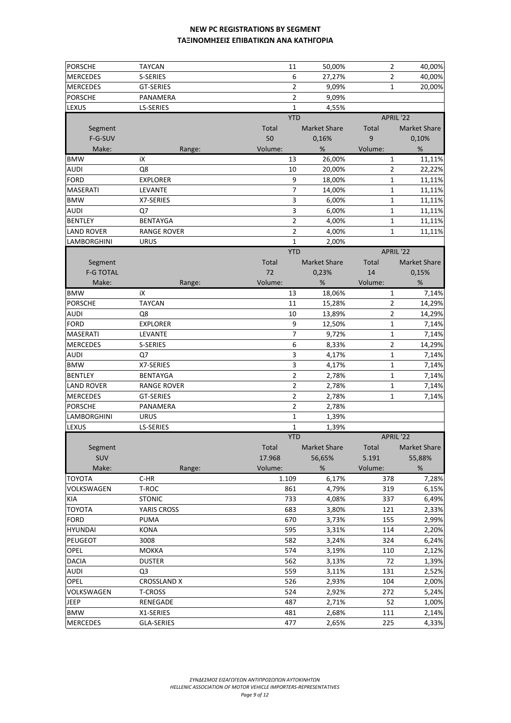| <b>PORSCHE</b>   | TAYCAN             | 11         | 50,00%              | $\overline{2}$ | 40,00%              |
|------------------|--------------------|------------|---------------------|----------------|---------------------|
| <b>MERCEDES</b>  | S-SERIES           | 6          | 27,27%              | 2              | 40,00%              |
| <b>MERCEDES</b>  | <b>GT-SERIES</b>   | 2          | 9,09%               | 1              | 20,00%              |
| <b>PORSCHE</b>   | PANAMERA           | 2          | 9,09%               |                |                     |
| LEXUS            | <b>LS-SERIES</b>   | 1          | 4,55%               |                |                     |
|                  |                    | <b>YTD</b> |                     |                | APRIL '22           |
| Segment          |                    | Total      | <b>Market Share</b> | Total          | <b>Market Share</b> |
| F-G-SUV          |                    | 50         | 0,16%               | 9              | 0,10%               |
| Make:            | Range:             | Volume:    | $\%$                | Volume:        | $\%$                |
| <b>BMW</b>       | iХ                 | 13         | 26,00%              | 1              | 11,11%              |
|                  | Q8                 |            |                     |                | 22,22%              |
| AUDI             |                    | 10<br>9    | 20,00%              | 2              |                     |
| <b>FORD</b>      | <b>EXPLORER</b>    |            | 18,00%              | $\mathbf 1$    | 11,11%              |
| <b>MASERATI</b>  | LEVANTE            | 7          | 14,00%              | 1              | 11,11%              |
| <b>BMW</b>       | X7-SERIES          | 3          | 6,00%               | 1              | 11,11%              |
| AUDI             | Q7                 | 3          | 6,00%               | 1              | 11,11%              |
| <b>BENTLEY</b>   | <b>BENTAYGA</b>    | 2          | 4,00%               | 1              | 11,11%              |
| LAND ROVER       | <b>RANGE ROVER</b> | 2          | 4,00%               | 1              | 11,11%              |
| LAMBORGHINI      | URUS               | 1          | 2,00%               |                |                     |
|                  |                    | <b>YTD</b> |                     |                | APRIL '22           |
| Segment          |                    | Total      | <b>Market Share</b> | Total          | <b>Market Share</b> |
| <b>F-G TOTAL</b> |                    | 72         | 0,23%               | 14             | 0,15%               |
| Make:            | Range:             | Volume:    | $\%$                | Volume:        | %                   |
| <b>BMW</b>       | iΧ                 | 13         | 18,06%              | 1              | 7,14%               |
| <b>PORSCHE</b>   | <b>TAYCAN</b>      | 11         | 15,28%              | $\overline{2}$ | 14,29%              |
| AUDI             | Q8                 | 10         | 13,89%              | 2              | 14,29%              |
| <b>FORD</b>      | <b>EXPLORER</b>    | 9          | 12,50%              | 1              | 7,14%               |
| MASERATI         | LEVANTE            | 7          | 9,72%               | $\mathbf 1$    | 7,14%               |
| <b>MERCEDES</b>  | <b>S-SERIES</b>    | 6          | 8,33%               | $\overline{2}$ | 14,29%              |
| AUDI             | Q7                 | 3          | 4,17%               | 1              | 7,14%               |
| <b>BMW</b>       | X7-SERIES          | 3          | 4,17%               | 1              | 7,14%               |
| <b>BENTLEY</b>   | BENTAYGA           | 2          | 2,78%               | 1              | 7,14%               |
| LAND ROVER       | RANGE ROVER        | 2          | 2,78%               | 1              | 7,14%               |
| <b>MERCEDES</b>  | <b>GT-SERIES</b>   | 2          | 2,78%               | 1              | 7,14%               |
| <b>PORSCHE</b>   | PANAMERA           | 2          | 2,78%               |                |                     |
| LAMBORGHINI      | URUS               | 1          | 1,39%               |                |                     |
| LEXUS            | LS-SERIES          | 1          | 1,39%               |                |                     |
|                  |                    | <b>YTD</b> |                     |                | APRIL '22           |
| Segment          |                    | Total      | <b>Market Share</b> | Total          | Market Share        |
| <b>SUV</b>       |                    | 17.968     | 56,65%              | 5.191          | 55,88%              |
| Make:            | Range:             | Volume:    | $\%$                | Volume:        | %                   |
| TOYOTA           | C-HR               | 1.109      | 6,17%               | 378            | 7,28%               |
| VOLKSWAGEN       | T-ROC              | 861        | 4,79%               | 319            | 6,15%               |
| KIA              | <b>STONIC</b>      | 733        | 4,08%               | 337            | 6,49%               |
| <b>TOYOTA</b>    | YARIS CROSS        | 683        | 3,80%               | 121            | 2,33%               |
| <b>FORD</b>      | PUMA               | 670        | 3,73%               | 155            | 2,99%               |
| <b>HYUNDAI</b>   | <b>KONA</b>        | 595        | 3,31%               | 114            | 2,20%               |
| <b>PEUGEOT</b>   | 3008               | 582        | 3,24%               | 324            | 6,24%               |
| OPEL             | <b>MOKKA</b>       | 574        | 3,19%               | 110            | 2,12%               |
| <b>DACIA</b>     | <b>DUSTER</b>      | 562        | 3,13%               | 72             | 1,39%               |
| <b>AUDI</b>      | Q <sub>3</sub>     | 559        | 3,11%               | 131            | 2,52%               |
| OPEL             | <b>CROSSLAND X</b> | 526        | 2,93%               | 104            | 2,00%               |
| VOLKSWAGEN       | <b>T-CROSS</b>     | 524        | 2,92%               | 272            | 5,24%               |
| JEEP             | RENEGADE           | 487        | 2,71%               | 52             | 1,00%               |
| <b>BMW</b>       | X1-SERIES          | 481        | 2,68%               | 111            | 2,14%               |
| <b>MERCEDES</b>  | <b>GLA-SERIES</b>  | 477        | 2,65%               | 225            | 4,33%               |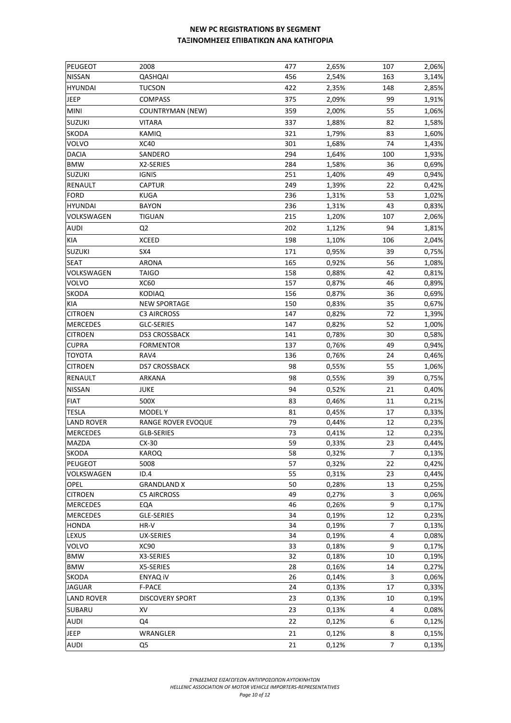| PEUGEOT                         | 2008                      | 477      | 2,65%          | 107            | 2,06%          |
|---------------------------------|---------------------------|----------|----------------|----------------|----------------|
| <b>NISSAN</b>                   | QASHQAI                   | 456      | 2,54%          | 163            | 3,14%          |
| <b>HYUNDAI</b>                  | <b>TUCSON</b>             | 422      | 2,35%          | 148            | 2,85%          |
| JEEP                            | <b>COMPASS</b>            | 375      | 2,09%          | 99             | 1,91%          |
| <b>MINI</b>                     | <b>COUNTRYMAN (NEW)</b>   | 359      | 2,00%          | 55             | 1,06%          |
| <b>SUZUKI</b>                   | <b>VITARA</b>             | 337      | 1,88%          | 82             | 1,58%          |
| <b>SKODA</b>                    | KAMIQ                     | 321      | 1,79%          | 83             | 1,60%          |
| <b>VOLVO</b>                    | <b>XC40</b>               | 301      | 1,68%          | 74             | 1,43%          |
| <b>DACIA</b>                    | SANDERO                   | 294      | 1,64%          | 100            | 1,93%          |
| <b>BMW</b>                      | X2-SERIES                 | 284      | 1,58%          | 36             | 0,69%          |
| <b>SUZUKI</b>                   | <b>IGNIS</b>              | 251      | 1,40%          | 49             | 0,94%          |
| <b>RENAULT</b>                  | CAPTUR                    | 249      | 1,39%          | 22             | 0,42%          |
| <b>FORD</b>                     | KUGA                      | 236      | 1,31%          | 53             | 1,02%          |
| <b>HYUNDAI</b>                  | <b>BAYON</b>              | 236      | 1,31%          | 43             | 0,83%          |
| VOLKSWAGEN                      | <b>TIGUAN</b>             | 215      | 1,20%          | 107            | 2,06%          |
| <b>AUDI</b>                     | Q <sub>2</sub>            | 202      | 1,12%          | 94             | 1,81%          |
| KIA                             | <b>XCEED</b>              | 198      | 1,10%          | 106            | 2,04%          |
| <b>SUZUKI</b>                   | SX4                       | 171      | 0,95%          | 39             | 0,75%          |
| <b>SEAT</b>                     | <b>ARONA</b>              | 165      | 0,92%          | 56             | 1,08%          |
| VOLKSWAGEN                      | <b>TAIGO</b>              | 158      | 0,88%          | 42             | 0,81%          |
| VOLVO                           | <b>XC60</b>               | 157      | 0,87%          | 46             | 0,89%          |
| <b>SKODA</b>                    | <b>KODIAQ</b>             | 156      | 0,87%          | 36             | 0,69%          |
| KIA                             | <b>NEW SPORTAGE</b>       | 150      | 0,83%          | 35             | 0,67%          |
| <b>CITROEN</b>                  | <b>C3 AIRCROSS</b>        | 147      | 0,82%          | 72             | 1,39%          |
| <b>MERCEDES</b>                 | GLC-SERIES                | 147      | 0,82%          | 52             | 1,00%          |
| <b>CITROEN</b>                  | <b>DS3 CROSSBACK</b>      | 141      | 0,78%          | 30             | 0,58%          |
| <b>CUPRA</b>                    | <b>FORMENTOR</b>          | 137      | 0,76%          | 49             | 0,94%          |
| <b>TOYOTA</b>                   | RAV4                      | 136      | 0,76%          | 24             | 0,46%          |
| <b>CITROEN</b>                  | <b>DS7 CROSSBACK</b>      | 98       | 0,55%          | 55             | 1,06%          |
| <b>RENAULT</b>                  | ARKANA                    | 98       | 0,55%          | 39             | 0,75%          |
| <b>NISSAN</b>                   | <b>JUKE</b>               | 94       | 0,52%          | 21             | 0,40%          |
| <b>FIAT</b>                     | 500X                      |          |                | 11             |                |
|                                 |                           | 83       | 0,46%          |                | 0,21%          |
| <b>TESLA</b>                    | <b>MODELY</b>             | 81       | 0,45%          | 17             | 0,33%          |
| <b>LAND ROVER</b>               | <b>RANGE ROVER EVOQUE</b> | 79<br>73 | 0,44%          | 12             | 0,23%          |
| <b>MERCEDES</b><br><b>MAZDA</b> | GLB-SERIES<br>$CX-30$     | 59       | 0,41%<br>0,33% | 12<br>23       | 0,23%<br>0,44% |
| <b>SKODA</b>                    |                           |          | 0,32%          | $\overline{7}$ | 0,13%          |
| <b>PEUGEOT</b>                  | KAROQ<br>5008             | 58<br>57 | 0,32%          | 22             | 0,42%          |
| VOLKSWAGEN                      | ID.4                      | 55       | 0,31%          | 23             | 0,44%          |
| OPEL                            | <b>GRANDLAND X</b>        | 50       | 0,28%          | 13             | 0,25%          |
| <b>CITROEN</b>                  | <b>C5 AIRCROSS</b>        | 49       | 0,27%          | 3              | 0,06%          |
| <b>MERCEDES</b>                 | EQA                       | 46       | 0,26%          | 9              | 0,17%          |
| <b>MERCEDES</b>                 | GLE-SERIES                | 34       | 0,19%          | 12             | 0,23%          |
| <b>HONDA</b>                    | HR-V                      | 34       | 0,19%          | 7              | 0,13%          |
| LEXUS                           | <b>UX-SERIES</b>          | 34       | 0,19%          | 4              | 0,08%          |
| VOLVO                           | XC90                      | 33       | 0,18%          | 9              | 0,17%          |
| <b>BMW</b>                      | X3-SERIES                 | 32       | 0,18%          | 10             | 0,19%          |
| <b>BMW</b>                      | X5-SERIES                 | 28       | 0,16%          | 14             | 0,27%          |
| SKODA                           | ENYAQ iV                  | 26       | 0,14%          | 3              | 0,06%          |
| <b>JAGUAR</b>                   | F-PACE                    | 24       | 0,13%          | 17             | 0,33%          |
| <b>LAND ROVER</b>               | DISCOVERY SPORT           | 23       | 0,13%          | 10             | 0,19%          |
| SUBARU                          | XV                        | 23       | 0,13%          | 4              | 0,08%          |
| <b>AUDI</b>                     | Q4                        | 22       | 0,12%          | 6              | 0,12%          |
| JEEP                            | WRANGLER                  | 21       | 0,12%          | 8              | 0,15%          |
| <b>AUDI</b>                     |                           |          |                | $\overline{7}$ |                |
|                                 | Q5                        | 21       | 0,12%          |                | 0,13%          |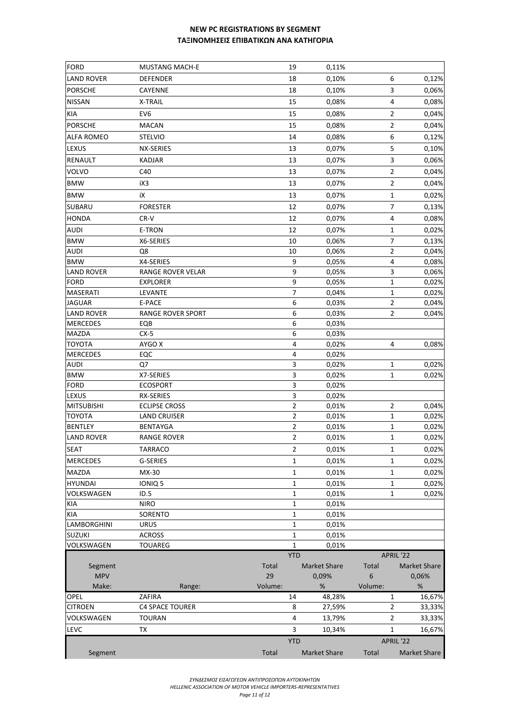| <b>FORD</b>       | <b>MUSTANG MACH-E</b>    |         | 19             | 0,11%               |         |                  |                     |
|-------------------|--------------------------|---------|----------------|---------------------|---------|------------------|---------------------|
| LAND ROVER        | <b>DEFENDER</b>          |         | 18             | 0,10%               |         | 6                | 0,12%               |
| <b>PORSCHE</b>    | CAYENNE                  |         | 18             | 0,10%               |         | 3                | 0,06%               |
| <b>NISSAN</b>     | X-TRAIL                  |         | 15             | 0,08%               |         | $\overline{4}$   | 0,08%               |
| KIA               | EV <sub>6</sub>          |         | 15             | 0,08%               |         | $\overline{2}$   | 0,04%               |
|                   |                          |         |                |                     |         |                  |                     |
| <b>PORSCHE</b>    | <b>MACAN</b>             |         | 15             | 0,08%               |         | $\overline{2}$   | 0,04%               |
| <b>ALFA ROMEO</b> | <b>STELVIO</b>           |         | 14             | 0,08%               |         | $\boldsymbol{6}$ | 0,12%               |
| LEXUS             | NX-SERIES                |         | 13             | 0,07%               |         | 5                | 0,10%               |
| RENAULT           | <b>KADJAR</b>            |         | 13             | 0,07%               |         | 3                | 0,06%               |
| VOLVO             | C40                      |         | 13             | 0,07%               |         | $\overline{2}$   | 0,04%               |
| <b>BMW</b>        | iX3                      |         | 13             | 0,07%               |         | $\overline{2}$   | 0,04%               |
| <b>BMW</b>        | iΧ                       |         | 13             | 0,07%               |         | $\mathbf 1$      | 0,02%               |
| SUBARU            | <b>FORESTER</b>          |         | 12             | 0,07%               |         | $\overline{7}$   | 0,13%               |
| <b>HONDA</b>      | CR-V                     |         | 12             | 0,07%               |         | 4                | 0,08%               |
| <b>AUDI</b>       | E-TRON                   |         | 12             | 0,07%               |         | $\mathbf{1}$     | 0,02%               |
| <b>BMW</b>        | X6-SERIES                |         | 10             | 0,06%               |         | $\overline{7}$   | 0,13%               |
| AUDI              | Q8                       |         | 10             | 0,06%               |         | $\overline{2}$   | 0,04%               |
| <b>BMW</b>        | X4-SERIES                |         | 9              | 0,05%               |         | $\pmb{4}$        | 0,08%               |
| <b>LAND ROVER</b> | RANGE ROVER VELAR        |         | 9              | 0,05%               |         | 3                | 0,06%               |
| FORD              | <b>EXPLORER</b>          |         | 9              | 0,05%               |         | $\mathbf 1$      | 0,02%               |
| MASERATI          | LEVANTE                  |         | $\overline{7}$ | 0,04%               |         | $\mathbf 1$      | 0,02%               |
| <b>JAGUAR</b>     | E-PACE                   |         | 6              | 0,03%               |         | $\overline{2}$   | 0,04%               |
| <b>LAND ROVER</b> | <b>RANGE ROVER SPORT</b> |         | 6              | 0,03%               |         | $\overline{2}$   | 0,04%               |
| <b>MERCEDES</b>   | EQB                      |         | 6              | 0,03%               |         |                  |                     |
| MAZDA             | $CX-5$                   |         | 6              | 0,03%               |         |                  |                     |
| TOYOTA            | AYGO X                   |         | 4              | 0,02%               |         | 4                | 0,08%               |
| <b>MERCEDES</b>   | EQC                      |         | 4              | 0,02%               |         |                  |                     |
| AUDI              | Q7                       |         | 3              | 0,02%               |         | 1                | 0,02%               |
| <b>BMW</b>        | X7-SERIES                |         | 3              | 0,02%               |         | $\mathbf{1}$     | 0,02%               |
| <b>FORD</b>       | <b>ECOSPORT</b>          |         | 3              | 0,02%               |         |                  |                     |
| LEXUS             | RX-SERIES                |         | 3              | 0,02%               |         |                  |                     |
| <b>MITSUBISHI</b> | <b>ECLIPSE CROSS</b>     |         | $\overline{2}$ | 0,01%               |         | $\overline{2}$   | 0,04%               |
| <b>TOYOTA</b>     | <b>LAND CRUISER</b>      |         | $\overline{2}$ | 0,01%               |         | $1\,$            | 0,02%               |
| <b>BENTLEY</b>    | <b>BENTAYGA</b>          |         | $\overline{2}$ | 0,01%               |         | $1\,$            | 0,02%               |
| <b>LAND ROVER</b> | <b>RANGE ROVER</b>       |         | $\overline{2}$ | 0,01%               |         | $\mathbf{1}$     | 0,02%               |
| SEAT              | TARRACO                  |         | 2              | 0,01%               |         | 1                | 0,02%               |
| <b>MERCEDES</b>   | G-SERIES                 |         | 1              | 0,01%               |         | $\mathbf{1}$     | 0,02%               |
| MAZDA             | MX-30                    |         | 1              | 0,01%               |         | $\mathbf{1}$     | 0,02%               |
| HYUNDAI           | IONIQ 5                  |         | 1              | 0,01%               |         | $\mathbf{1}$     | 0,02%               |
| VOLKSWAGEN        | ID.5                     |         | 1              | 0,01%               |         | $\mathbf{1}$     | 0,02%               |
| KIA               | <b>NIRO</b>              |         | 1              | 0,01%               |         |                  |                     |
| KIA               | SORENTO                  |         | 1              | 0,01%               |         |                  |                     |
| LAMBORGHINI       | <b>URUS</b>              |         | 1              | 0,01%               |         |                  |                     |
| <b>SUZUKI</b>     | <b>ACROSS</b>            |         | 1              | 0,01%               |         |                  |                     |
| VOLKSWAGEN        | <b>TOUAREG</b>           |         | $\mathbf{1}$   | 0,01%               |         |                  |                     |
|                   |                          |         | <b>YTD</b>     |                     |         | APRIL '22        |                     |
| Segment           |                          | Total   |                | <b>Market Share</b> | Total   |                  | <b>Market Share</b> |
| <b>MPV</b>        |                          | 29      |                | 0,09%               | 6       |                  | 0,06%               |
| Make:             | Range:                   | Volume: |                | $\%$                | Volume: |                  | %                   |
| OPEL              | ZAFIRA                   |         | 14             | 48,28%              |         | 1                | 16,67%              |
| <b>CITROEN</b>    | <b>C4 SPACE TOURER</b>   |         | 8              | 27,59%              |         | $\overline{2}$   | 33,33%              |
| VOLKSWAGEN        | <b>TOURAN</b>            |         | 4              | 13,79%              |         | $\overline{2}$   | 33,33%              |
| LEVC              | TX                       |         | 3              | 10,34%              |         | $\mathbf{1}$     | 16,67%              |
|                   |                          |         | <b>YTD</b>     |                     |         | APRIL '22        |                     |
| Segment           |                          | Total   |                | Market Share        | Total   |                  | Market Share        |